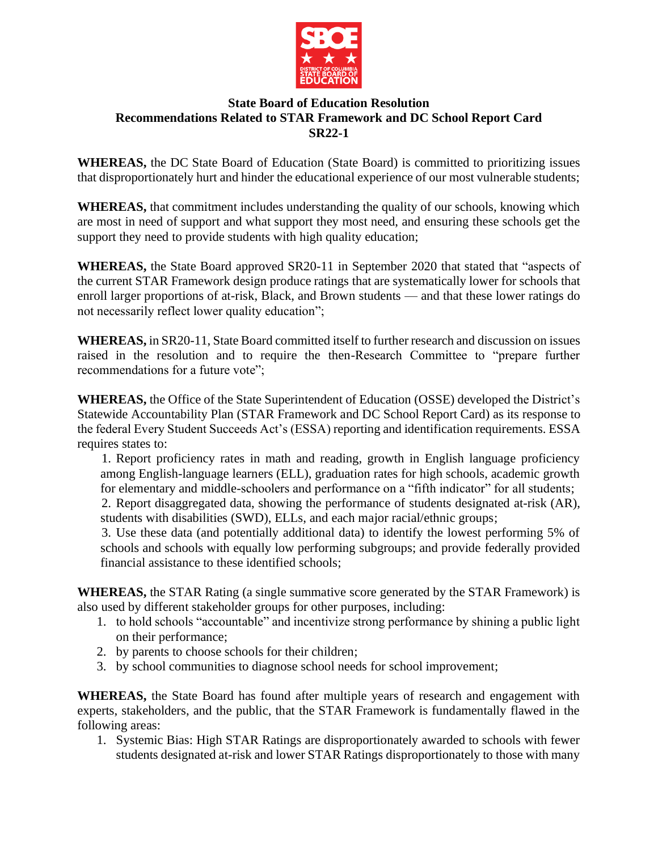

## **State Board of Education Resolution Recommendations Related to STAR Framework and DC School Report Card SR22-1**

**WHEREAS,** the DC State Board of Education (State Board) is committed to prioritizing issues that disproportionately hurt and hinder the educational experience of our most vulnerable students;

**WHEREAS,** that commitment includes understanding the quality of our schools, knowing which are most in need of support and what support they most need, and ensuring these schools get the support they need to provide students with high quality education;

**WHEREAS,** the State Board approved SR20-11 in September 2020 that stated that "aspects of the current STAR Framework design produce ratings that are systematically lower for schools that enroll larger proportions of at-risk, Black, and Brown students — and that these lower ratings do not necessarily reflect lower quality education";

**WHEREAS,** in SR20-11, State Board committed itself to further research and discussion on issues raised in the resolution and to require the then-Research Committee to "prepare further recommendations for a future vote":

**WHEREAS,** the Office of the State Superintendent of Education (OSSE) developed the District's Statewide Accountability Plan (STAR Framework and DC School Report Card) as its response to the federal Every Student Succeeds Act's (ESSA) reporting and identification requirements. ESSA requires states to:

1. Report proficiency rates in math and reading, growth in English language proficiency among English-language learners (ELL), graduation rates for high schools, academic growth for elementary and middle-schoolers and performance on a "fifth indicator" for all students;

2. Report disaggregated data, showing the performance of students designated at-risk (AR), students with disabilities (SWD), ELLs, and each major racial/ethnic groups;

3. Use these data (and potentially additional data) to identify the lowest performing 5% of schools and schools with equally low performing subgroups; and provide federally provided financial assistance to these identified schools;

**WHEREAS,** the STAR Rating (a single summative score generated by the STAR Framework) is also used by different stakeholder groups for other purposes, including:

- 1. to hold schools "accountable" and incentivize strong performance by shining a public light on their performance;
- 2. by parents to choose schools for their children;
- 3. by school communities to diagnose school needs for school improvement;

**WHEREAS,** the State Board has found after multiple years of research and engagement with experts, stakeholders, and the public, that the STAR Framework is fundamentally flawed in the following areas:

1. Systemic Bias: High STAR Ratings are disproportionately awarded to schools with fewer students designated at-risk and lower STAR Ratings disproportionately to those with many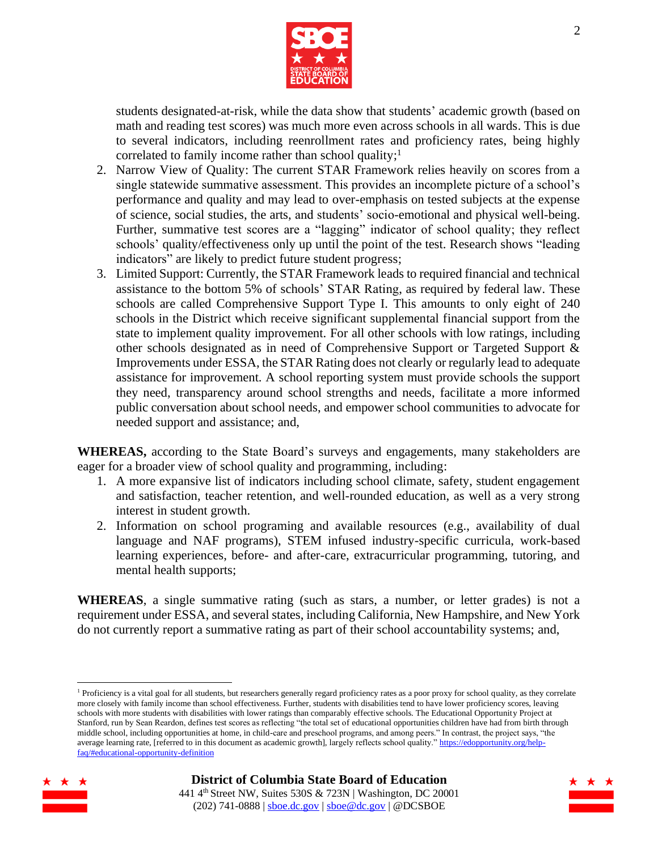

students designated-at-risk, while the data show that students' academic growth (based on math and reading test scores) was much more even across schools in all wards. This is due to several indicators, including reenrollment rates and proficiency rates, being highly correlated to family income rather than school quality; 1

- 2. Narrow View of Quality: The current STAR Framework relies heavily on scores from a single statewide summative assessment. This provides an incomplete picture of a school's performance and quality and may lead to over-emphasis on tested subjects at the expense of science, social studies, the arts, and students' socio-emotional and physical well-being. Further, summative test scores are a "lagging" indicator of school quality; they reflect schools' quality/effectiveness only up until the point of the test. Research shows "leading indicators" are likely to predict future student progress;
- 3. Limited Support: Currently, the STAR Framework leads to required financial and technical assistance to the bottom 5% of schools' STAR Rating, as required by federal law. These schools are called Comprehensive Support Type I. This amounts to only eight of 240 schools in the District which receive significant supplemental financial support from the state to implement quality improvement. For all other schools with low ratings, including other schools designated as in need of Comprehensive Support or Targeted Support & Improvements under ESSA, the STAR Rating does not clearly or regularly lead to adequate assistance for improvement. A school reporting system must provide schools the support they need, transparency around school strengths and needs, facilitate a more informed public conversation about school needs, and empower school communities to advocate for needed support and assistance; and,

**WHEREAS,** according to the State Board's surveys and engagements, many stakeholders are eager for a broader view of school quality and programming, including:

- 1. A more expansive list of indicators including school climate, safety, student engagement and satisfaction, teacher retention, and well-rounded education, as well as a very strong interest in student growth.
- 2. Information on school programing and available resources (e.g., availability of dual language and NAF programs), STEM infused industry-specific curricula, work-based learning experiences, before- and after-care, extracurricular programming, tutoring, and mental health supports;

**WHEREAS**, a single summative rating (such as stars, a number, or letter grades) is not a requirement under ESSA, and several states, including California, New Hampshire, and New York do not currently report a summative rating as part of their school accountability systems; and,

<sup>1</sup> Proficiency is a vital goal for all students, but researchers generally regard proficiency rates as a poor proxy for school quality, as they correlate more closely with family income than school effectiveness. Further, students with disabilities tend to have lower proficiency scores, leaving schools with more students with disabilities with lower ratings than comparably effective schools. The Educational Opportunity Project at Stanford, run by Sean Reardon, defines test scores as reflecting "the total set of educational opportunities children have had from birth through middle school, including opportunities at home, in child-care and preschool programs, and among peers." In contrast, the project says, "the average learning rate, [referred to in this document as academic growth], largely reflects school quality.[" https://edopportunity.org/help](https://edopportunity.org/help-faq/#educational-opportunity-definition)[faq/#educational-opportunity-definition](https://edopportunity.org/help-faq/#educational-opportunity-definition)



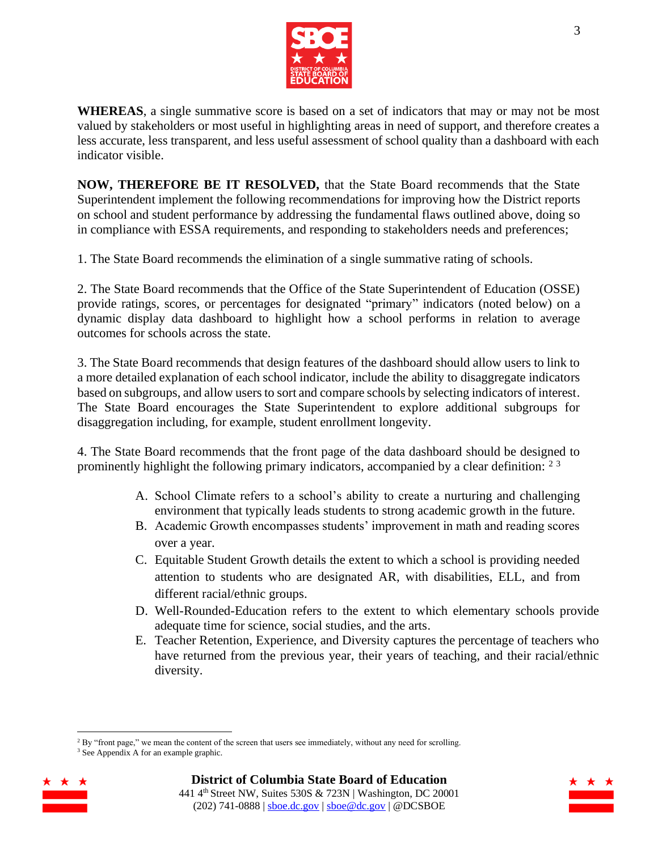

**WHEREAS**, a single summative score is based on a set of indicators that may or may not be most valued by stakeholders or most useful in highlighting areas in need of support, and therefore creates a less accurate, less transparent, and less useful assessment of school quality than a dashboard with each indicator visible.

**NOW, THEREFORE BE IT RESOLVED,** that the State Board recommends that the State Superintendent implement the following recommendations for improving how the District reports on school and student performance by addressing the fundamental flaws outlined above, doing so in compliance with ESSA requirements, and responding to stakeholders needs and preferences;

1. The State Board recommends the elimination of a single summative rating of schools.

2. The State Board recommends that the Office of the State Superintendent of Education (OSSE) provide ratings, scores, or percentages for designated "primary" indicators (noted below) on a dynamic display data dashboard to highlight how a school performs in relation to average outcomes for schools across the state.

3. The State Board recommends that design features of the dashboard should allow users to link to a more detailed explanation of each school indicator, include the ability to disaggregate indicators based on subgroups, and allow users to sort and compare schools by selecting indicators of interest. The State Board encourages the State Superintendent to explore additional subgroups for disaggregation including, for example, student enrollment longevity.

4. The State Board recommends that the front page of the data dashboard should be designed to prominently highlight the following primary indicators, accompanied by a clear definition:  $2<sup>3</sup>$ 

- A. School Climate refers to a school's ability to create a nurturing and challenging environment that typically leads students to strong academic growth in the future.
- B. Academic Growth encompasses students' improvement in math and reading scores over a year.
- C. Equitable Student Growth details the extent to which a school is providing needed attention to students who are designated AR, with disabilities, ELL, and from different racial/ethnic groups.
- D. Well-Rounded-Education refers to the extent to which elementary schools provide adequate time for science, social studies, and the arts.
- E. Teacher Retention, Experience, and Diversity captures the percentage of teachers who have returned from the previous year, their years of teaching, and their racial/ethnic diversity.

<sup>&</sup>lt;sup>3</sup> See Appendix A for an example graphic.



 $2$  By "front page," we mean the content of the screen that users see immediately, without any need for scrolling.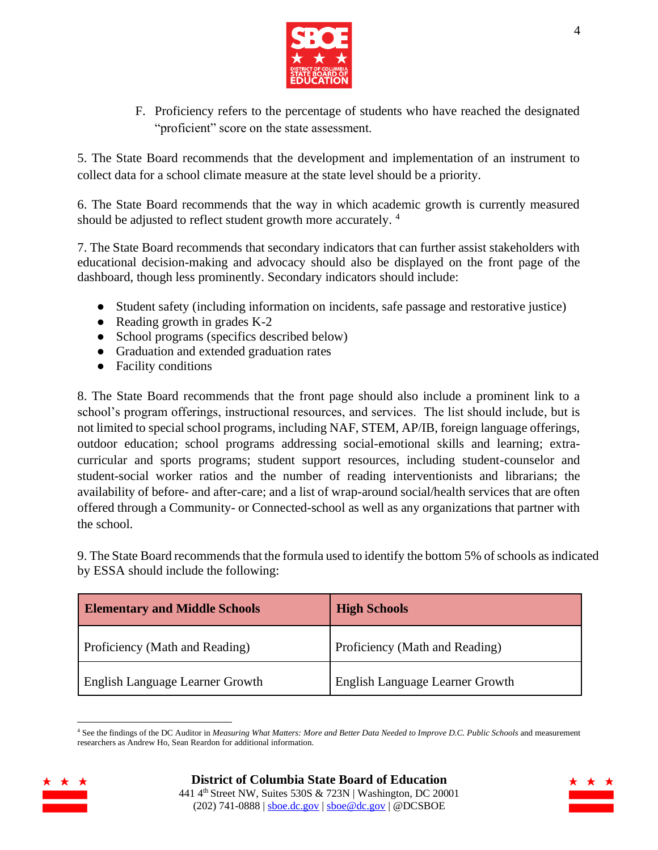

F. Proficiency refers to the percentage of students who have reached the designated "proficient" score on the state assessment.

5. The State Board recommends that the development and implementation of an instrument to collect data for a school climate measure at the state level should be a priority.

6. The State Board recommends that the way in which academic growth is currently measured should be adjusted to reflect student growth more accurately.<sup>4</sup>

7. The State Board recommends that secondary indicators that can further assist stakeholders with educational decision-making and advocacy should also be displayed on the front page of the dashboard, though less prominently. Secondary indicators should include:

- Student safety (including information on incidents, safe passage and restorative justice)
- Reading growth in grades K-2
- School programs (specifics described below)
- Graduation and extended graduation rates
- Facility conditions

8. The State Board recommends that the front page should also include a prominent link to a school's program offerings, instructional resources, and services. The list should include, but is not limited to special school programs, including NAF, STEM, AP/IB, foreign language offerings, outdoor education; school programs addressing social-emotional skills and learning; extracurricular and sports programs; student support resources, including student-counselor and student-social worker ratios and the number of reading interventionists and librarians; the availability of before- and after-care; and a list of wrap-around social/health services that are often offered through a Community- or Connected-school as well as any organizations that partner with the school.

9. The State Board recommends that the formula used to identify the bottom 5% of schools as indicated by ESSA should include the following:

| <b>Elementary and Middle Schools</b>   | <b>High Schools</b>                    |
|----------------------------------------|----------------------------------------|
| Proficiency (Math and Reading)         | Proficiency (Math and Reading)         |
| <b>English Language Learner Growth</b> | <b>English Language Learner Growth</b> |

<sup>4</sup> See the findings of the DC Auditor in *Measuring What Matters: More and Better Data Needed to Improve D.C. Public Schools* and measurement researchers as Andrew Ho, Sean Reardon for additional information.



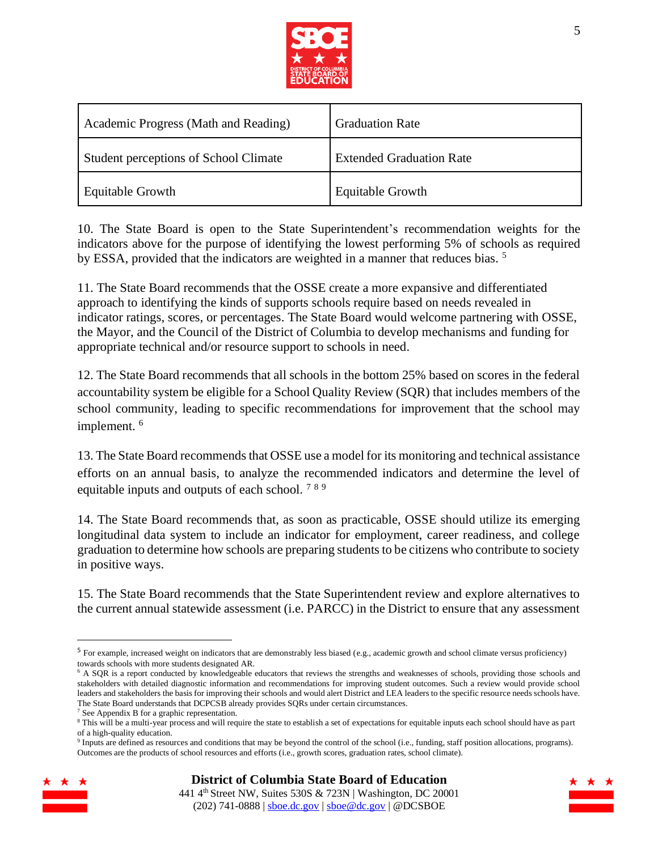

| Academic Progress (Math and Reading)  | <b>Graduation Rate</b>          |
|---------------------------------------|---------------------------------|
| Student perceptions of School Climate | <b>Extended Graduation Rate</b> |
| Equitable Growth                      | <b>Equitable Growth</b>         |

10. The State Board is open to the State Superintendent's recommendation weights for the indicators above for the purpose of identifying the lowest performing 5% of schools as required by ESSA, provided that the indicators are weighted in a manner that reduces bias.<sup>5</sup>

11. The State Board recommends that the OSSE create a more expansive and differentiated approach to identifying the kinds of supports schools require based on needs revealed in indicator ratings, scores, or percentages. The State Board would welcome partnering with OSSE, the Mayor, and the Council of the District of Columbia to develop mechanisms and funding for appropriate technical and/or resource support to schools in need.

12. The State Board recommends that all schools in the bottom 25% based on scores in the federal accountability system be eligible for a School Quality Review (SQR) that includes members of the school community, leading to specific recommendations for improvement that the school may implement. 6

13. The State Board recommends that OSSE use a model for its monitoring and technical assistance efforts on an annual basis, to analyze the recommended indicators and determine the level of equitable inputs and outputs of each school. <sup>7</sup> <sup>8</sup> <sup>9</sup>

14. The State Board recommends that, as soon as practicable, OSSE should utilize its emerging longitudinal data system to include an indicator for employment, career readiness, and college graduation to determine how schools are preparing students to be citizens who contribute to society in positive ways.

15. The State Board recommends that the State Superintendent review and explore alternatives to the current annual statewide assessment (i.e. PARCC) in the District to ensure that any assessment

<sup>&</sup>lt;sup>9</sup> Inputs are defined as resources and conditions that may be beyond the control of the school (i.e., funding, staff position allocations, programs). Outcomes are the products of school resources and efforts (i.e., growth scores, graduation rates, school climate).



<sup>5</sup> For example, increased weight on indicators that are demonstrably less biased (e.g., academic growth and school climate versus proficiency) towards schools with more students designated AR.

<sup>&</sup>lt;sup>6</sup> A SQR is a report conducted by knowledgeable educators that reviews the strengths and weaknesses of schools, providing those schools and stakeholders with detailed diagnostic information and recommendations for improving student outcomes. Such a review would provide school leaders and stakeholders the basis for improving their schools and would alert District and LEA leaders to the specific resource needs schools have. The State Board understands that DCPCSB already provides SQRs under certain circumstances.

<sup>7</sup> See Appendix B for a graphic representation.

<sup>&</sup>lt;sup>8</sup> This will be a multi-year process and will require the state to establish a set of expectations for equitable inputs each school should have as part of a high-quality education.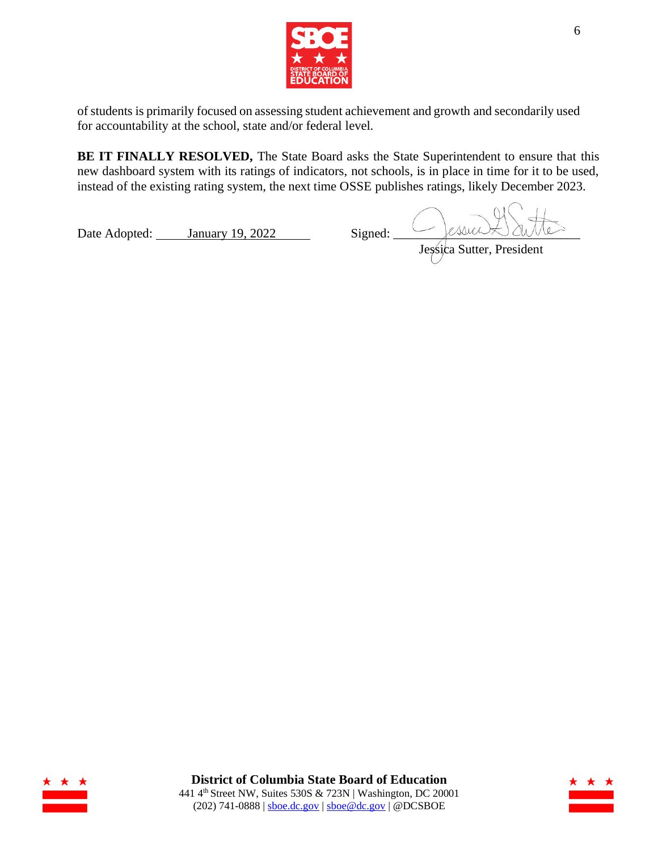

of students is primarily focused on assessing student achievement and growth and secondarily used for accountability at the school, state and/or federal level.

**BE IT FINALLY RESOLVED,** The State Board asks the State Superintendent to ensure that this new dashboard system with its ratings of indicators, not schools, is in place in time for it to be used, instead of the existing rating system, the next time OSSE publishes ratings, likely December 2023.

Date Adopted: January 19, 2022 Signed:  $\frac{\sqrt{2\text{NUCM}}}{\text{Jessica Sutter, Pre}}$ Jessica Sutter, President



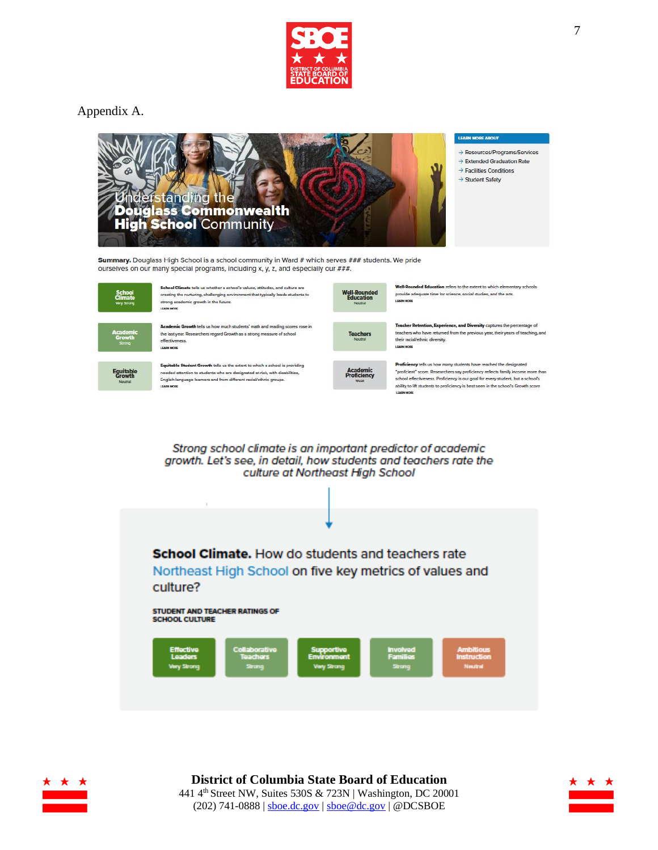

## Appendix A.



Summary. Douglass High School is a school community in Ward # which serves ### students. We pride ourselves on our many special programs, including x, y, z, and especially our ###.



School Climate tells us whether a school's values, attitudes, and culture are creating the nurturing, challenging environment that typically leads students to strong academic growth in the future. **CARN MODE** 

demic Growth tells us how much students' math and reading scores rose in the last year. Researchers regard Growth as a strong measure of school effectiveness. LEARN MORE

Equitable Student Growth tells us the extent to which a school is providing Equivale addent Grower tess us are extent to written a school is provided<br>needed attention to students who are designated at-risk, with disabilities,<br>English-language learners and from different racial/ethnic groups.



**nded Education** refers to the extent to which elem tary schools provide adequate time for science, social studies, and the arts.

Teacher Retention, Experience, and Diversity captures the percentage of teachers who have returned from the previous year, their years of teaching, and their racial/ethnic diversity.

"proficient" score. Researchers say proficiency reflects family income more than<br>school effectiveness. Proficiency is our goal for every student, but a school's ability to lift students to proficiency is best seen in the school's Growth score

Strong school climate is an important predictor of academic growth. Let's see, in detail, how students and teachers rate the culture at Northeast High School





**District of Columbia State Board of Education** 441 4 th Street NW, Suites 530S & 723N | Washington, DC 20001 (202) 741-0888 |  $\frac{\text{shoe.dc.gov}}{\text{shoe@dc.gov}}$  | @DCSBOE

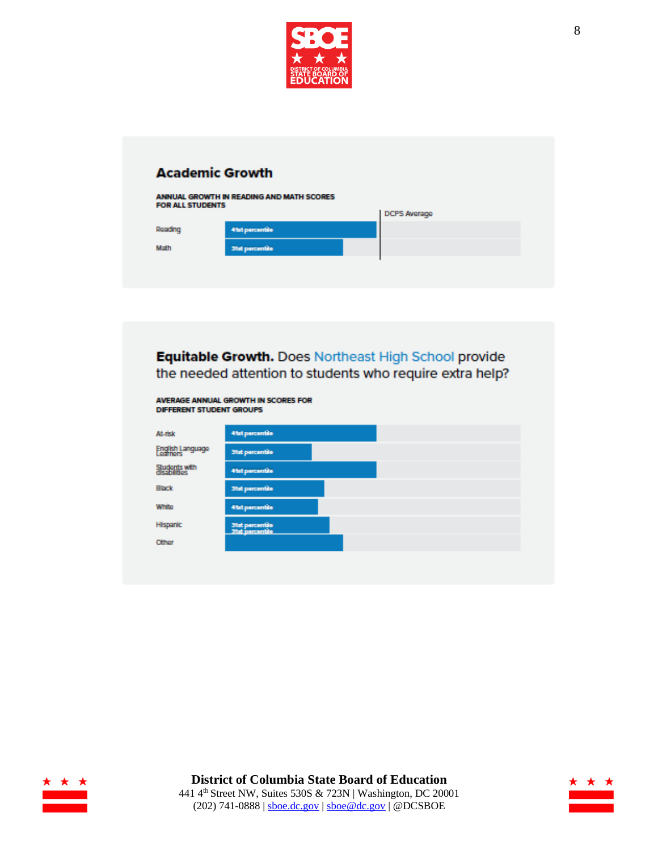

## **Academic Growth** ANNUAL GROWTH IN READING AND MATH SCORES<br>FOR ALL STUDENTS DCPS Average Reading 41st percentile Math **Mat percentile**



| At-risk                       | 41st percentile                    |  |
|-------------------------------|------------------------------------|--|
| English Language              | <b>31st percentile</b>             |  |
| Students with<br>disabilities | <b>41st percentile</b>             |  |
| <b>Black</b>                  | <b>31st percentile</b>             |  |
| White                         | <b>41st percentile</b>             |  |
| Hispanic                      | 31st percentile<br>31st percentile |  |
| Other                         |                                    |  |



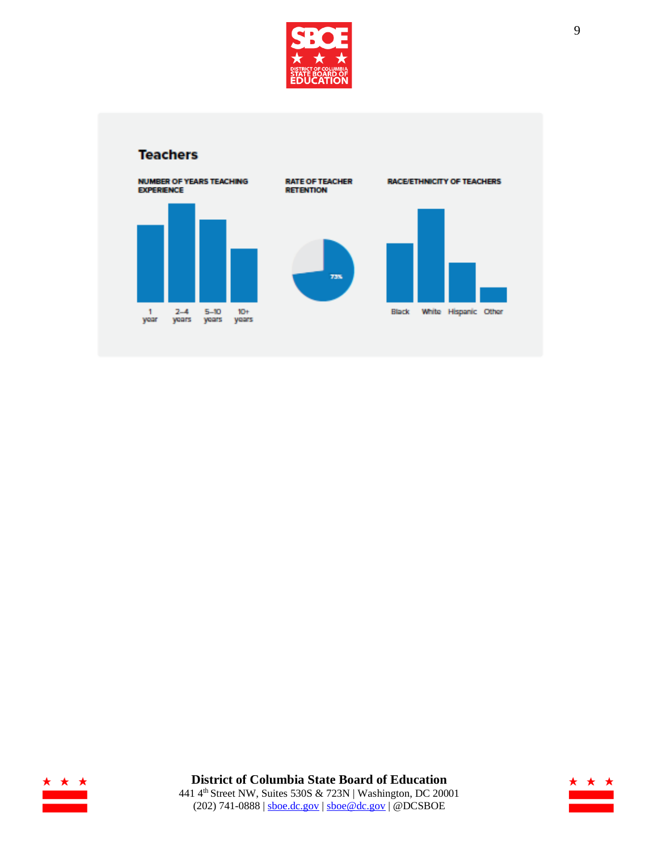